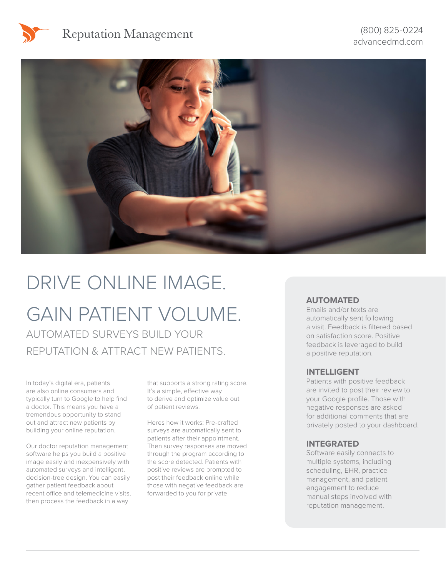# Reputation Management



# DRIVE ONLINE IMAGE. GAIN PATIENT VOLUME.

AUTOMATED SURVEYS BUILD YOUR REPUTATION & ATTRACT NEW PATIENTS.

In today's digital era, patients are also online consumers and typically turn to Google to help find a doctor. This means you have a tremendous opportunity to stand out and attract new patients by building your online reputation.

Our doctor reputation management software helps you build a positive image easily and inexpensively with automated surveys and intelligent, decision-tree design. You can easily gather patient feedback about recent office and telemedicine visits, then process the feedback in a way

that supports a strong rating score. It's a simple, effective way to derive and optimize value out of patient reviews.

Heres how it works: Pre-crafted surveys are automatically sent to patients after their appointment. Then survey responses are moved through the program according to the score detected. Patients with positive reviews are prompted to post their feedback online while those with negative feedback are forwarded to you for private

#### **AUTOMATED**

Emails and/or texts are automatically sent following a visit. Feedback is filtered based on satisfaction score. Positive feedback is leveraged to build a positive reputation.

#### **INTELLIGENT**

Patients with positive feedback are invited to post their review to your Google profile. Those with negative responses are asked for additional comments that are privately posted to your dashboard.

#### **INTEGRATED**

Software easily connects to multiple systems, including scheduling, EHR, practice management, and patient engagement to reduce manual steps involved with reputation management.